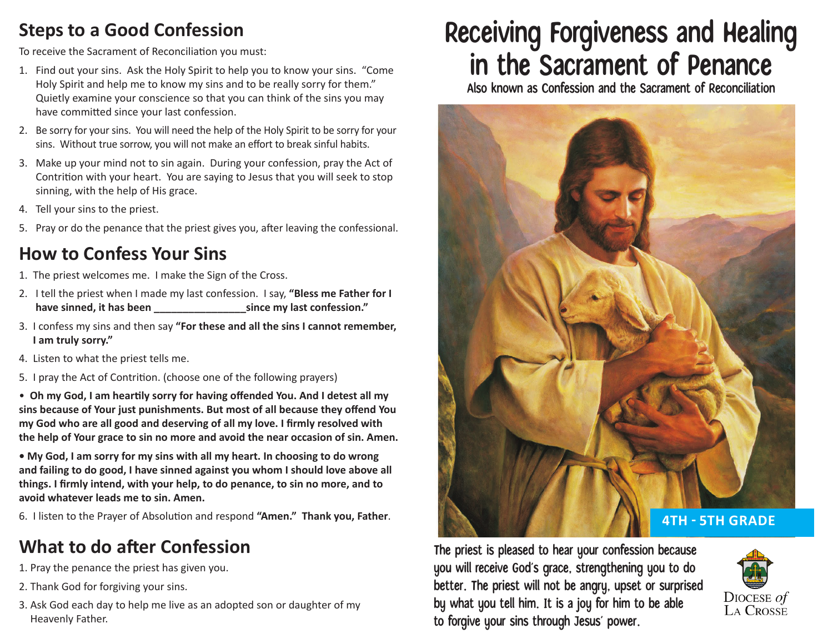### **Steps to a Good Confession**

To receive the Sacrament of Reconciliation you must:

- 1. Find out your sins. Ask the Holy Spirit to help you to know your sins. "Come Holy Spirit and help me to know my sins and to be really sorry for them." Quietly examine your conscience so that you can think of the sins you may have committed since your last confession.
- 2. Be sorry for your sins. You will need the help of the Holy Spirit to be sorry for your sins. Without true sorrow, you will not make an effort to break sinful habits.
- 3. Make up your mind not to sin again. During your confession, pray the Act of Contrition with your heart. You are saying to Jesus that you will seek to stop sinning, with the help of His grace.
- 4. Tell your sins to the priest.
- 5. Pray or do the penance that the priest gives you, after leaving the confessional.

## **How to Confess Your Sins**

- 1. The priest welcomes me. I make the Sign of the Cross.
- 2. I tell the priest when I made my last confession. I say, **"Bless me Father for I**  have sinned, it has been **have since my last confession.**"
- 3. I confess my sins and then say **"For these and all the sins I cannot remember, I am truly sorry."**
- 4. Listen to what the priest tells me.
- 5. I pray the Act of Contrition. (choose one of the following prayers)

• **Oh my God, I am heartily sorry for having offended You. And I detest all my sins because of Your just punishments. But most of all because they offend You my God who are all good and deserving of all my love. I firmly resolved with the help of Your grace to sin no more and avoid the near occasion of sin. Amen.**

**• My God, I am sorry for my sins with all my heart. In choosing to do wrong and failing to do good, I have sinned against you whom I should love above all things. I firmly intend, with your help, to do penance, to sin no more, and to avoid whatever leads me to sin. Amen.**

6. I listen to the Prayer of Absolution and respond **"Amen." Thank you, Father**.

# **What to do after Confession**

- 1. Pray the penance the priest has given you.
- 2. Thank God for forgiving your sins.
- 3. Ask God each day to help me live as an adopted son or daughter of my Heavenly Father.

# Receiving Forgiveness and Healing in the Sacrament of Penance

Also known as Confession and the Sacrament of Reconciliation



The priest is pleased to hear your confession because you will receive God's grace, strengthening you to do better. The priest will not be angry, upset or surprised by what you tell him. It is a joy for him to be able to forgive your sins through Jesus' power.